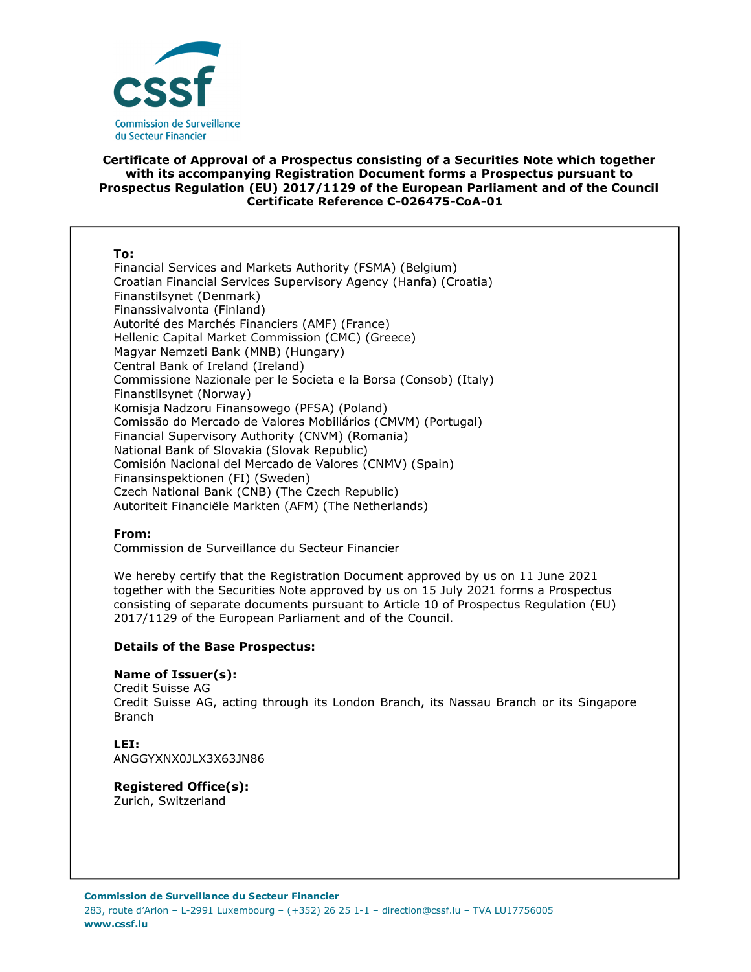

## **Certificate of Approval of a Prospectus consisting of a Securities Note which together with its accompanying Registration Document forms a Prospectus pursuant to Prospectus Regulation (EU) 2017/1129 of the European Parliament and of the Council Certificate Reference C-026475-CoA-01**

#### **To:**

Financial Services and Markets Authority (FSMA) (Belgium) Croatian Financial Services Supervisory Agency (Hanfa) (Croatia) Finanstilsynet (Denmark) Finanssivalvonta (Finland) Autorité des Marchés Financiers (AMF) (France) Hellenic Capital Market Commission (CMC) (Greece) Magyar Nemzeti Bank (MNB) (Hungary) Central Bank of Ireland (Ireland) Commissione Nazionale per le Societa e la Borsa (Consob) (Italy) Finanstilsynet (Norway) Komisja Nadzoru Finansowego (PFSA) (Poland) Comissão do Mercado de Valores Mobiliários (CMVM) (Portugal) Financial Supervisory Authority (CNVM) (Romania) National Bank of Slovakia (Slovak Republic) Comisión Nacional del Mercado de Valores (CNMV) (Spain) Finansinspektionen (FI) (Sweden) Czech National Bank (CNB) (The Czech Republic) Autoriteit Financiële Markten (AFM) (The Netherlands)

## **From:**

Commission de Surveillance du Secteur Financier

We hereby certify that the Registration Document approved by us on 11 June 2021 together with the Securities Note approved by us on 15 July 2021 forms a Prospectus consisting of separate documents pursuant to Article 10 of Prospectus Regulation (EU) 2017/1129 of the European Parliament and of the Council.

## **Details of the Base Prospectus:**

## **Name of Issuer(s):**

Credit Suisse AG Credit Suisse AG, acting through its London Branch, its Nassau Branch or its Singapore Branch

## **LEI:**

ANGGYXNX0JLX3X63JN86

## **Registered Office(s):**

Zurich, Switzerland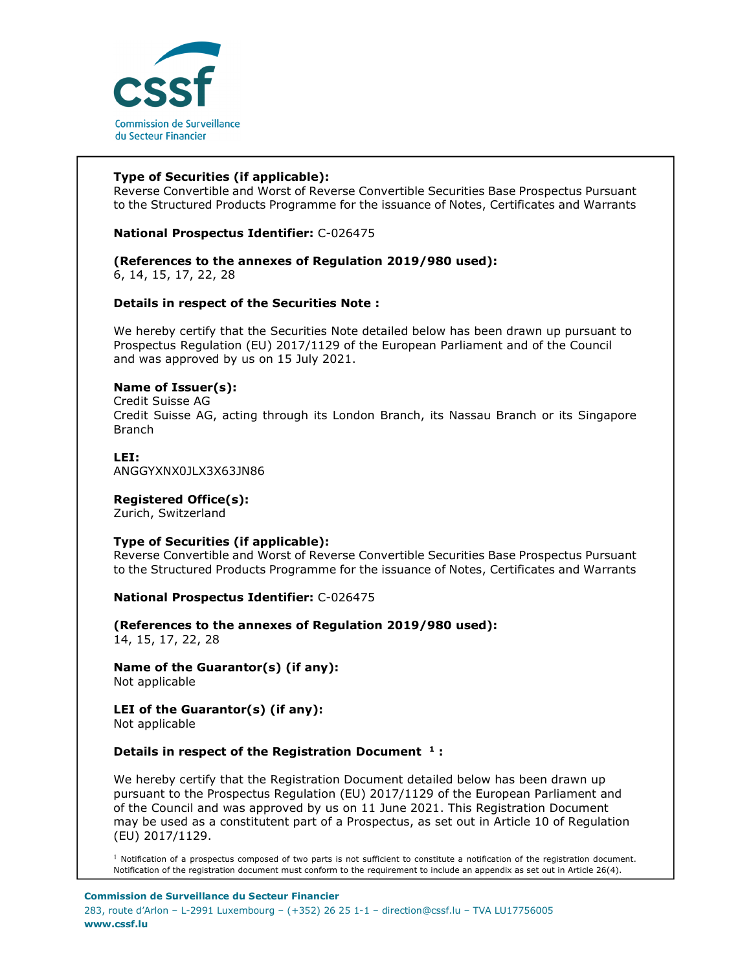

# **Type of Securities (if applicable):**

Reverse Convertible and Worst of Reverse Convertible Securities Base Prospectus Pursuant to the Structured Products Programme for the issuance of Notes, Certificates and Warrants

**National Prospectus Identifier:** C-026475

## **(References to the annexes of Regulation 2019/980 used):**

6, 14, 15, 17, 22, 28

## **Details in respect of the Securities Note :**

We hereby certify that the Securities Note detailed below has been drawn up pursuant to Prospectus Regulation (EU) 2017/1129 of the European Parliament and of the Council and was approved by us on 15 July 2021.

# **Name of Issuer(s):**

Credit Suisse AG Credit Suisse AG, acting through its London Branch, its Nassau Branch or its Singapore Branch

## **LEI:**

ANGGYXNX0JLX3X63JN86

## **Registered Office(s):**

Zurich, Switzerland

## **Type of Securities (if applicable):**

Reverse Convertible and Worst of Reverse Convertible Securities Base Prospectus Pursuant to the Structured Products Programme for the issuance of Notes, Certificates and Warrants

## **National Prospectus Identifier:** C-026475

## **(References to the annexes of Regulation 2019/980 used):**

14, 15, 17, 22, 28

## **Name of the Guarantor(s) (if any):**  Not applicable

**LEI of the Guarantor(s) (if any):**  Not applicable

## **Details in respect of the Registration Document <sup>1</sup> :**

We hereby certify that the Registration Document detailed below has been drawn up pursuant to the Prospectus Regulation (EU) 2017/1129 of the European Parliament and of the Council and was approved by us on 11 June 2021. This Registration Document may be used as a constitutent part of a Prospectus, as set out in Article 10 of Regulation (EU) 2017/1129.

 $1$  Notification of a prospectus composed of two parts is not sufficient to constitute a notification of the registration document. Notification of the registration document must conform to the requirement to include an appendix as set out in Article 26(4).